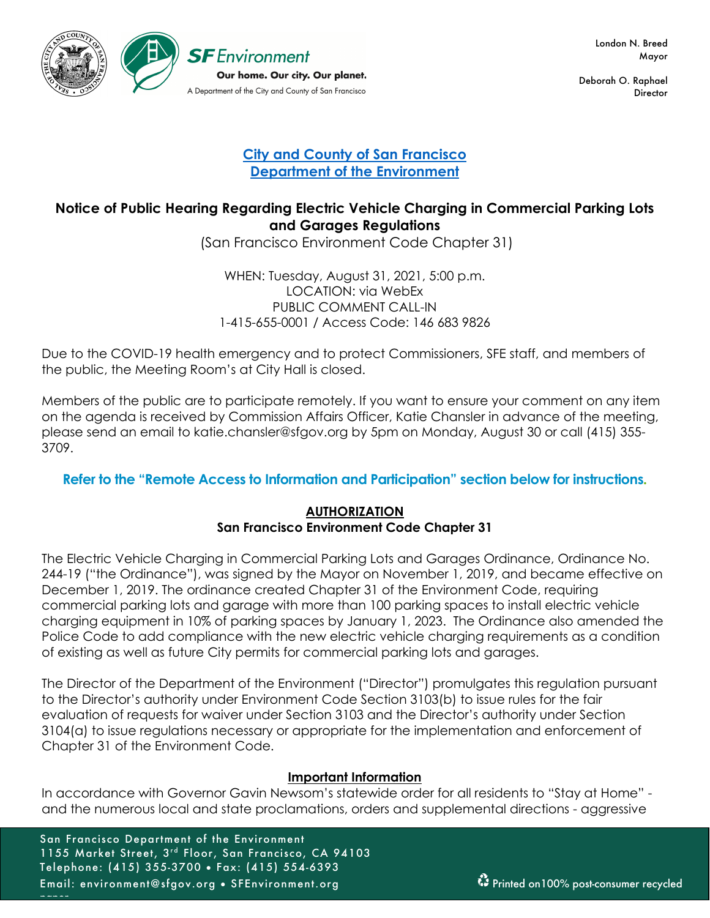

 London N. Breed Mayor

Deborah O. Raphael Director

## **City and County of San Francisco Department of the Environment**

# **Notice of Public Hearing Regarding Electric Vehicle Charging in Commercial Parking Lots and Garages Regulations**

(San Francisco Environment Code Chapter 31)

WHEN: Tuesday, August 31, 2021, 5:00 p.m. LOCATION: via WebEx PUBLIC COMMENT CALL-IN 1-415-655-0001 / Access Code: 146 683 9826

Due to the COVID-19 health emergency and to protect Commissioners, SFE staff, and members of the public, the Meeting Room's at City Hall is closed.

Members of the public are to participate remotely. If you want to ensure your comment on any item on the agenda is received by Commission Affairs Officer, Katie Chansler in advance of the meeting, please send an email to katie.chansler@sfgov.org by 5pm on Monday, August 30 or call (415) 355- 3709.

## **Refer to the "Remote Access to Information and Participation" section below for instructions.**

### **AUTHORIZATION San Francisco Environment Code Chapter 31**

The Electric Vehicle Charging in Commercial Parking Lots and Garages Ordinance, Ordinance No. 244-19 ("the Ordinance"), was signed by the Mayor on November 1, 2019, and became effective on December 1, 2019. The ordinance created Chapter 31 of the Environment Code, requiring commercial parking lots and garage with more than 100 parking spaces to install electric vehicle charging equipment in 10% of parking spaces by January 1, 2023. The Ordinance also amended the Police Code to add compliance with the new electric vehicle charging requirements as a condition of existing as well as future City permits for commercial parking lots and garages.

The Director of the Department of the Environment ("Director") promulgates this regulation pursuant to the Director's authority under Environment Code Section 3103(b) to issue rules for the fair evaluation of requests for waiver under Section 3103 and the Director's authority under Section 3104(a) to issue regulations necessary or appropriate for the implementation and enforcement of Chapter 31 of the Environment Code.

### **Important Information**

In accordance with Governor Gavin Newsom's statewide order for all residents to "Stay at Home" and the numerous local and state proclamations, orders and supplemental directions - aggressive

San Francisco Department of the Environment 1155 Market Street, 3rd Floor, San Francisco, CA 94103 Telephone: (415) 355-3700 • Fax: (415) 554-6393 Email: environment@sfgov.org • SFEnvironment.org Printed on100% post-consumer recycled

paper.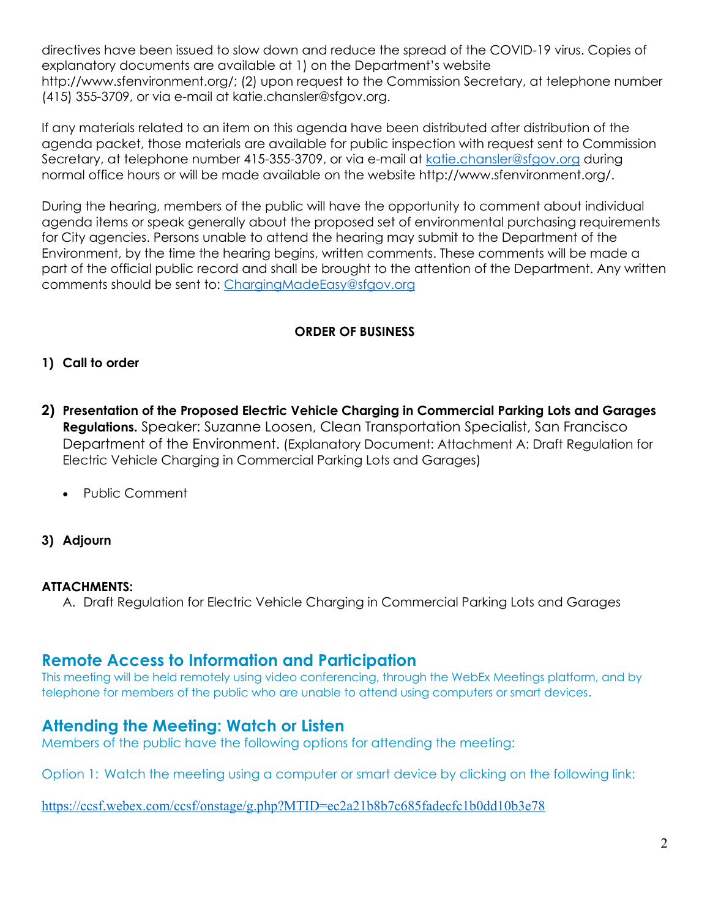directives have been issued to slow down and reduce the spread of the COVID-19 virus. Copies of explanatory documents are available at 1) on the Department's website http://www.sfenvironment.org/; (2) upon request to the Commission Secretary, at telephone number (415) 355-3709, or via e-mail at katie.chansler@sfgov.org.

If any materials related to an item on this agenda have been distributed after distribution of the agenda packet, those materials are available for public inspection with request sent to Commission Secretary, at telephone number 415-355-3709, or via e-mail at katie.chansler@sfgov.org during normal office hours or will be made available on the website http://www.sfenvironment.org/.

During the hearing, members of the public will have the opportunity to comment about individual agenda items or speak generally about the proposed set of environmental purchasing requirements for City agencies. Persons unable to attend the hearing may submit to the Department of the Environment, by the time the hearing begins, written comments. These comments will be made a part of the official public record and shall be brought to the attention of the Department. Any written comments should be sent to: ChargingMadeEasy@sfgov.org

### **ORDER OF BUSINESS**

### **1) Call to order**

- **2) Presentation of the Proposed Electric Vehicle Charging in Commercial Parking Lots and Garages Regulations.** Speaker: Suzanne Loosen, Clean Transportation Specialist, San Francisco Department of the Environment. (Explanatory Document: Attachment A: Draft Regulation for Electric Vehicle Charging in Commercial Parking Lots and Garages)
	- Public Comment
- **3) Adjourn**

#### **ATTACHMENTS:**

A. Draft Regulation for Electric Vehicle Charging in Commercial Parking Lots and Garages

# **Remote Access to Information and Participation**

This meeting will be held remotely using video conferencing, through the WebEx Meetings platform, and by telephone for members of the public who are unable to attend using computers or smart devices.

# **Attending the Meeting: Watch or Listen**

Members of the public have the following options for attending the meeting:

Option 1: Watch the meeting using a computer or smart device by clicking on the following link:

https://ccsf.webex.com/ccsf/onstage/g.php?MTID=ec2a21b8b7c685fadecfc1b0dd10b3e78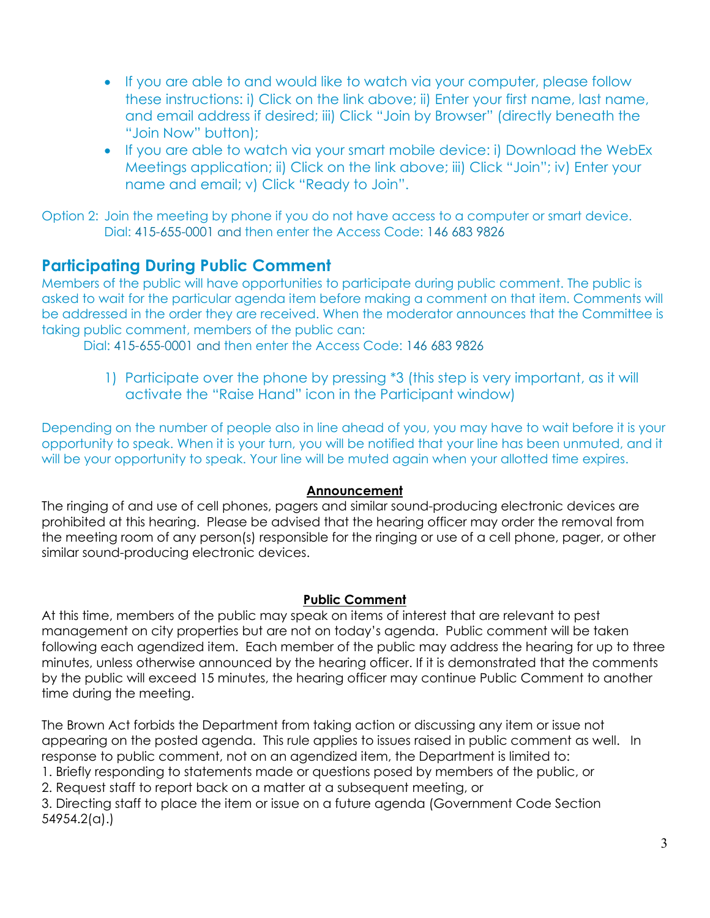- If you are able to and would like to watch via your computer, please follow these instructions: i) Click on the link above; ii) Enter your first name, last name, and email address if desired; iii) Click "Join by Browser" (directly beneath the "Join Now" button);
- If you are able to watch via your smart mobile device: i) Download the WebEx Meetings application; ii) Click on the link above; iii) Click "Join"; iv) Enter your name and email; v) Click "Ready to Join".

Option 2: Join the meeting by phone if you do not have access to a computer or smart device. Dial: 415-655-0001 and then enter the Access Code: 146 683 9826

# **Participating During Public Comment**

Members of the public will have opportunities to participate during public comment. The public is asked to wait for the particular agenda item before making a comment on that item. Comments will be addressed in the order they are received. When the moderator announces that the Committee is taking public comment, members of the public can:

Dial: 415-655-0001 and then enter the Access Code: 146 683 9826

1) Participate over the phone by pressing \*3 (this step is very important, as it will activate the "Raise Hand" icon in the Participant window)

Depending on the number of people also in line ahead of you, you may have to wait before it is your opportunity to speak. When it is your turn, you will be notified that your line has been unmuted, and it will be your opportunity to speak. Your line will be muted again when your allotted time expires.

### **Announcement**

The ringing of and use of cell phones, pagers and similar sound-producing electronic devices are prohibited at this hearing. Please be advised that the hearing officer may order the removal from the meeting room of any person(s) responsible for the ringing or use of a cell phone, pager, or other similar sound-producing electronic devices.

### **Public Comment**

At this time, members of the public may speak on items of interest that are relevant to pest management on city properties but are not on today's agenda. Public comment will be taken following each agendized item. Each member of the public may address the hearing for up to three minutes, unless otherwise announced by the hearing officer. If it is demonstrated that the comments by the public will exceed 15 minutes, the hearing officer may continue Public Comment to another time during the meeting.

The Brown Act forbids the Department from taking action or discussing any item or issue not appearing on the posted agenda. This rule applies to issues raised in public comment as well. In response to public comment, not on an agendized item, the Department is limited to: 1. Briefly responding to statements made or questions posed by members of the public, or 2. Request staff to report back on a matter at a subsequent meeting, or 3. Directing staff to place the item or issue on a future agenda (Government Code Section 54954.2(a).)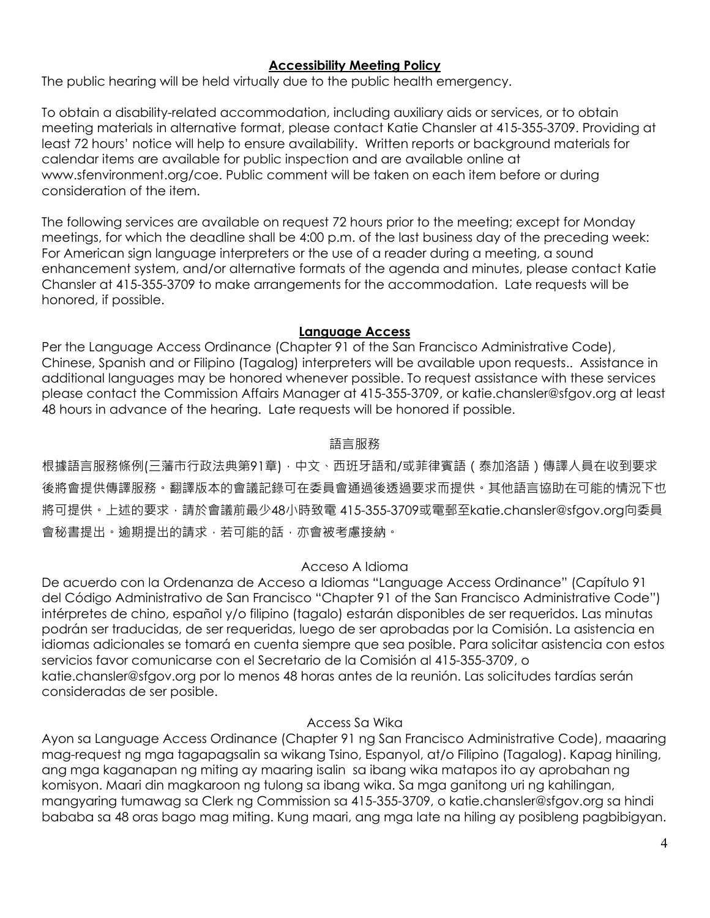### **Accessibility Meeting Policy**

The public hearing will be held virtually due to the public health emergency.

To obtain a disability-related accommodation, including auxiliary aids or services, or to obtain meeting materials in alternative format, please contact Katie Chansler at 415-355-3709. Providing at least 72 hours' notice will help to ensure availability. Written reports or background materials for calendar items are available for public inspection and are available online at www.sfenvironment.org/coe. Public comment will be taken on each item before or during consideration of the item.

The following services are available on request 72 hours prior to the meeting; except for Monday meetings, for which the deadline shall be 4:00 p.m. of the last business day of the preceding week: For American sign language interpreters or the use of a reader during a meeting, a sound enhancement system, and/or alternative formats of the agenda and minutes, please contact Katie Chansler at 415-355-3709 to make arrangements for the accommodation. Late requests will be honored, if possible.

#### **Language Access**

Per the Language Access Ordinance (Chapter 91 of the San Francisco Administrative Code), Chinese, Spanish and or Filipino (Tagalog) interpreters will be available upon requests.. Assistance in additional languages may be honored whenever possible. To request assistance with these services please contact the Commission Affairs Manager at 415-355-3709, or katie.chansler@sfgov.org at least 48 hours in advance of the hearing. Late requests will be honored if possible.

### 語言服務

根據語言服務條例(三藩市行政法典第91章),中文、西班牙語和/或菲律賓語 (泰加洛語)傳譯人員在收到要求 後將會提供傳譯服務。翻譯版本的會議記錄可在委員會通過後透過要求而提供。其他語言協助在可能的情況下也 將可提供。上述的要求,請於會議前最少48小時致電 415-355-3709或電郵至katie.chansler@sfgov.org向委員 會秘書提出。逾期提出的請求,若可能的話,亦會被考慮接納。

### Acceso A Idioma

De acuerdo con la Ordenanza de Acceso a Idiomas "Language Access Ordinance" (Capítulo 91 del Código Administrativo de San Francisco "Chapter 91 of the San Francisco Administrative Code") intérpretes de chino, español y/o filipino (tagalo) estarán disponibles de ser requeridos. Las minutas podrán ser traducidas, de ser requeridas, luego de ser aprobadas por la Comisión. La asistencia en idiomas adicionales se tomará en cuenta siempre que sea posible. Para solicitar asistencia con estos servicios favor comunicarse con el Secretario de la Comisión al 415-355-3709, o katie.chansler@sfgov.org por lo menos 48 horas antes de la reunión. Las solicitudes tardías serán consideradas de ser posible.

### Access Sa Wika

Ayon sa Language Access Ordinance (Chapter 91 ng San Francisco Administrative Code), maaaring mag-request ng mga tagapagsalin sa wikang Tsino, Espanyol, at/o Filipino (Tagalog). Kapag hiniling, ang mga kaganapan ng miting ay maaring isalin sa ibang wika matapos ito ay aprobahan ng komisyon. Maari din magkaroon ng tulong sa ibang wika. Sa mga ganitong uri ng kahilingan, mangyaring tumawag sa Clerk ng Commission sa 415-355-3709, o katie.chansler@sfgov.org sa hindi bababa sa 48 oras bago mag miting. Kung maari, ang mga late na hiling ay posibleng pagbibigyan.